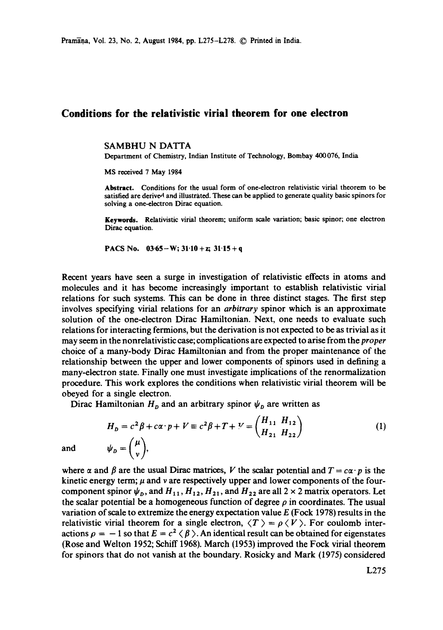## **Conditions for the relativistic virial theorem for one electron**

SAMBHU N DATTA

Department of Chemistry, Indian Institute of Technology, Bombay 400 076, India

MS received 7 May 1984

Abstract. Conditions for the usual form of one-electron relativistic virial theorem to be satisfied are derived and illustrated. These can be applied to generate quality basic spinors for solving a one-electron Dirac equation.

Keywords. Relativistic virial theorem; uniform scale variation; basic spinor; one electron Dirac equation.

PACS No.  $03.65-W$ ;  $31.10 + z$ ;  $31.15 + q$ 

Recent years have seen a surge in investigation of relativistic effects in atoms and molecules and it has become increasingly important to establish relativistic virial relations for such systems. This can be done in three distinct stages. The first step involves specifying virial relations for an *arbitrary* spinor which is an approximate solution of the one-electron Dirac Hamiltonian. Next, one needs to evaluate such relations for interacting fermions, but the derivation is not expected to be as trivial as it may seem in the nonrelativistic case; complications are expected to arise from the *proper*  choice of a many-body Dirac Hamiltonian and from the proper maintenance of the relationship between the upper and lower components of spinors used in defining a many-electron state. Finally one must investigate implicaiions of the renormalization procedure. This work explores the conditions when relativistic virial theorem will be obeyed for a single electron.

Dirac Hamiltonian  $H<sub>n</sub>$  and an arbitrary spinor  $\psi<sub>n</sub>$  are written as

$$
H_D = c^2 \beta + c\alpha \cdot p + V \equiv c^2 \beta + T + V = \begin{pmatrix} H_{11} & H_{12} \\ H_{21} & H_{22} \end{pmatrix}
$$
  
\n
$$
\psi_D = \begin{pmatrix} \mu \\ v \end{pmatrix},
$$
\n(1)

and

where  $\alpha$  and  $\beta$  are the usual Dirac matrices, V the scalar potential and  $T = c\alpha \cdot p$  is the kinetic energy term;  $\mu$  and v are respectively upper and lower components of the fourcomponent spinor  $\psi_{D}$ , and  $H_{11}$ ,  $H_{12}$ ,  $H_{21}$ , and  $H_{22}$  are all 2 x 2 matrix operators. Let the scalar potential be a homogeneous function of degree  $\rho$  in coordinates. The usual variation of scale to extremize the energy expectation value  $E$  (Fock 1978) results in the relativistic virial theorem for a single electron,  $\langle T \rangle = \rho \langle V \rangle$ . For coulomb interactions  $\rho = -1$  so that  $E = c^2 \langle \beta \rangle$ . An identical result can be obtained for eigenstates (Rose and Welton 1952; Schiff 1968). March (1953) improved the Fock virial theorem for spinors that do not vanish at the boundary. Rosicky and Mark (1975) considered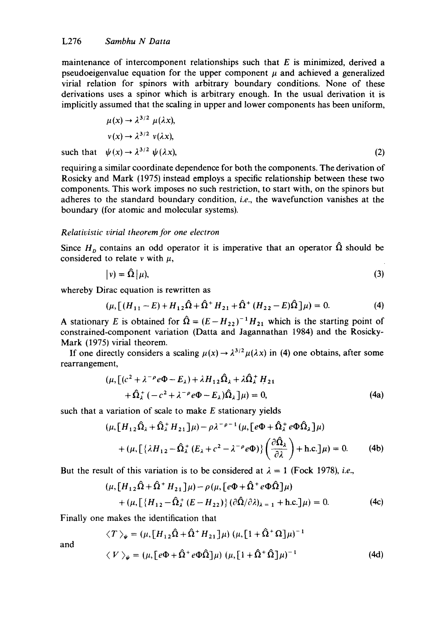maintenance of intercomponent relationships such that  $E$  is minimized, derived a pseudoeigenvalue equation for the upper component  $\mu$  and achieved a generalized virial relation for spinors with arbitrary boundary conditions. None of these derivations uses a spinor which is arbitrary enough. In the usual derivation it is implicitly assumed that the scaling in upper and lower components has been uniform,

$$
\mu(x) \to \lambda^{3/2} \mu(\lambda x),
$$
  
\n
$$
v(x) \to \lambda^{3/2} v(\lambda x),
$$
  
\nsuch that 
$$
\psi(x) \to \lambda^{3/2} \psi(\lambda x),
$$
 (2)

requiring a similar coordinate dependence for both the components. The derivation of Rosicky and Mark (1975) instead employs a specific relationship between these two components. This work imposes no such restriction, to start with, on the spinors but adheres to the standard boundary condition, *i.e.,* the wavefunction vanishes at the boundary (for atomic and molecular systems).

## *Relativistic virial theorem for one electron*

Since  $H_p$  contains an odd operator it is imperative that an operator  $\hat{\Omega}$  should be considered to relate  $\nu$  with  $\mu$ ,

$$
|v\rangle = \hat{\Omega}|\mu\rangle,\tag{3}
$$

whereby Dirac equation is rewritten as

$$
(\mu, [ (H_{11} - E) + H_{12} \hat{\Omega} + \hat{\Omega}^+ H_{21} + \hat{\Omega}^+ (H_{22} - E) \hat{\Omega} ] \mu) = 0.
$$
 (4)

A stationary E is obtained for  $\hat{Q} = (E - H_{22})^{-1}H_{21}$  which is the starting point of constrained-component variation (Datta and Jagannathan 1984) and the Rosicky-Mark (1975) virial theorem.

If one directly considers a scaling  $\mu(x) \rightarrow \lambda^{3/2} \mu(\lambda x)$  in (4) one obtains, after some rearrangement,

$$
(\mu, [ (c2 + \lambda-\rho e\Phi - E\lambda) + \lambda H12 \hat{\Omega}_{\lambda} + \lambda \hat{\Omega}_{\lambda}^+ H21 + \hat{\Omega}_{\lambda}^+ (-c2 + \lambda-\rho e\Phi - E_{\lambda}) \hat{\Omega}_{\lambda} ] \mu) = 0,
$$
 (4a)

such that a variation of scale to make  $E$  stationary yields

$$
(\mu, [H_{12}\hat{\Omega}_{\lambda} + \hat{\Omega}_{\lambda}^+ H_{21}]\mu) - \rho \lambda^{-\rho - 1} (\mu, [e\Phi + \hat{\Omega}_{\lambda}^+ e\Phi \hat{\Omega}_{\lambda}]\mu)
$$
  
+ 
$$
(\mu, [(\lambda H_{12} - \hat{\Omega}_{\lambda}^+ (E_{\lambda} + c^2 - \lambda^{-\rho} e\Phi)) \left(\frac{\partial \hat{\Omega}_{\lambda}}{\partial \lambda}\right) + \text{h.c.}]\mu) = 0. \tag{4b}
$$

But the result of this variation is to be considered at  $\lambda = 1$  (Fock 1978), *i.e.*,

$$
(\mu, [H_{12}\hat{\Omega} + \hat{\Omega}^+ H_{21}]\mu) - \rho(\mu, [e\Phi + \hat{\Omega}^+ e\Phi\hat{\Omega}]\mu)
$$
  
+ 
$$
(\mu, [H_{12} - \hat{\Omega}^+_{\lambda} (E - H_{22})](\partial \hat{\Omega}/\partial \lambda)_{\lambda = 1} + \text{h.c.}]\mu) = 0.
$$
 (4c)

Finally one makes the identification that

$$
\langle T \rangle_{\psi} = (\mu, [H_{12}\hat{\Omega} + \hat{\Omega}^{\dagger} H_{21}] \mu) (\mu, [1 + \hat{\Omega}^{\dagger} \Omega] \mu)^{-1}
$$
  

$$
\langle V \rangle_{\psi} = (\mu, [e\Phi + \hat{\Omega}^{\dagger} e\Phi \hat{\Omega}] \mu) (\mu, [1 + \hat{\Omega}^{\dagger} \hat{\Omega}] \mu)^{-1}
$$
(4d)

and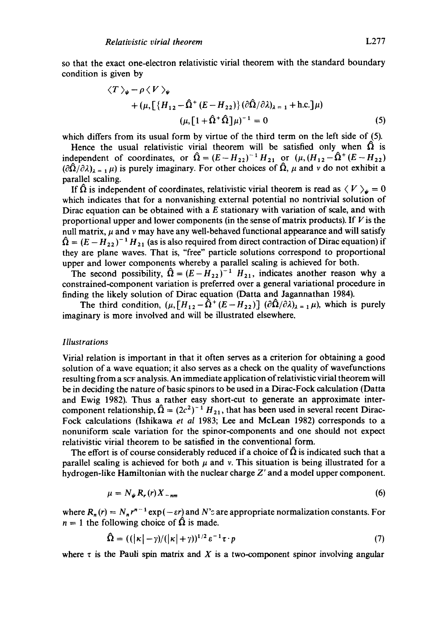so that the exact one-electron relativistic virial theorem with the standard boundary condition is given by

$$
\langle T \rangle_{\psi} - \rho \langle V \rangle_{\psi}
$$
  
+ 
$$
(\mu, \left[ \{ H_{12} - \hat{\Omega}^+ (E - H_{22}) \} (\partial \hat{\Omega} / \partial \lambda)_{\lambda = 1} + \text{h.c.} \right] \mu)
$$
  

$$
(\mu, \left[ 1 + \hat{\Omega}^+ \hat{\Omega} \right] \mu)^{-1} = 0
$$
 (5)

which differs from its usual form by virtue of the third term on the left side of (5).

Hence the usual relativistic virial theorem will be satisfied only when  $\Omega$  is independent of coordinates, or  $\hat{\Omega} = (E - H_{22})^{-1} H_{21}$  or  $(\mu, (H_{12} - \hat{\Omega}^+ (E - H_{22}))$  $(\partial \hat{\Omega}/\partial \lambda)_{\lambda = 1} \mu$ ) is purely imaginary. For other choices of  $\hat{\Omega}$ ,  $\mu$  and v do not exhibit a parallel scaling.

If  $\hat{\Omega}$  is independent of coordinates, relativistic virial theorem is read as  $\langle V \rangle_{\psi} = 0$ which indicates that for a nonvanishing external potential no nontrivial solution of Dirac equation can be obtained with a  $E$  stationary with variation of scale, and with proportional upper and lower components (in the sense of matrix products). If  $V$  is the null matrix,  $\mu$  and  $\nu$  may have any well-behaved functional appearance and will satisfy  $\hat{\Omega} = (E - H_{22})^{-1} H_{21}$  (as is also required from direct contraction of Dirac equation) if they are plane waves. That is, "free" particle solutions correspond to proportional upper and lower components whereby a parallel scaling is achieved for both.

The second possibility,  $\hat{Q} = (E - H_{22})^{-1} H_{21}$ , indicates another reason why a constrained-component variation is preferred over a general variational procedure in finding the likely solution of Dirac equation (Datta and Jagannathan 1984).

The third condition,  $(\mu, [H_{12} - \hat{\Omega}^+(E - H_{22})]$   $(\partial \hat{\Omega}/\partial \lambda)_{\lambda=1} \mu)$ , which is purely imaginary is more involved and will be illustrated elsewhere.

## *Illustrations*

Virial relation is important in that it often serves as a criterion for obtaining a good solution of a wave equation; it also serves as a check on the quality of wavefunctions resulting from a SCF analysis. An immediate application of relativistic virial theorem will be in deciding the nature of basic spinors to be used in a Dirac-Fock calculation (Datta and Ewig 1982). Thus a rather easy short-cut to generate an approximate intercomponent relationship,  $\hat{\Omega} = (2c^2)^{-1} H_{21}$ , that has been used in several recent Dirac-Fock calculations (Ishikawa *et al* 1983; Lee and McLean 1982) corresponds to a nonuniform scale variation for the spinor-components and one should not expect relativistic virial theorem to be satisfied in the conventional form.

The effort is of course considerably reduced if a choice of  $\hat{\Omega}$  is indicated such that a parallel scaling is achieved for both  $\mu$  and v. This situation is being illustrated for a hydrogen-like Hamiltonian with the nuclear charge Z' and a model upper component.

$$
\mu = N_{\psi} R_{r}(r) X_{-nm} \tag{6}
$$

where  $R_n(r) = N_n r^{n-1} \exp(-\varepsilon r)$  and N's are appropriate normalization constants. For  $n = 1$  the following choice of  $\Omega$  is made.

$$
\hat{\Omega} = ((|\kappa| - \gamma)/(|\kappa| + \gamma))^{1/2} \varepsilon^{-1} \tau \cdot p \tag{7}
$$

where  $\tau$  is the Pauli spin matrix and X is a two-component spinor involving angular